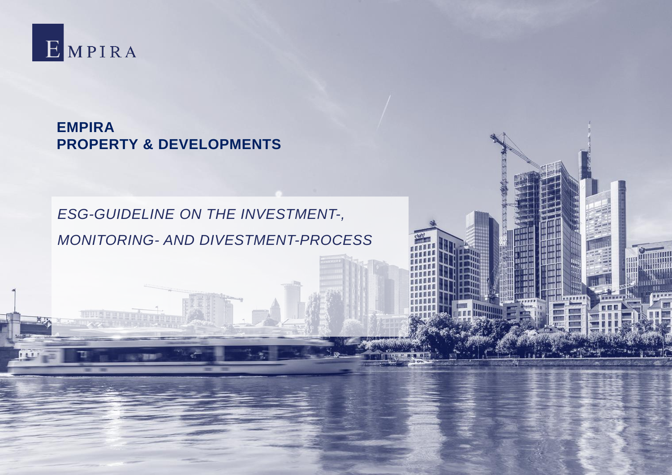

 $14.1.1$ 

**EMPIRA PROPERTY & DEVELOPMENTS**

# *ESG-GUIDELINE ON THE INVESTMENT-, MONITORING- AND DIVESTMENT-PROCESS*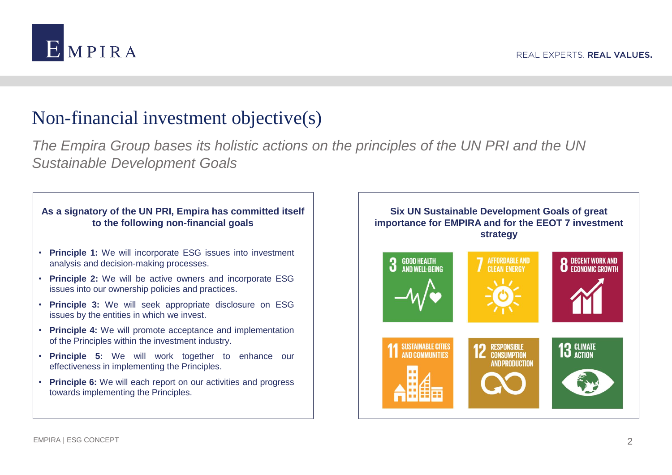

# Non-financial investment objective(s)

*The Empira Group bases its holistic actions on the principles of the UN PRI and the UN Sustainable Development Goals*

#### **As a signatory of the UN PRI, Empira has committed itself to the following non-financial goals**

- **Principle 1:** We will incorporate ESG issues into investment analysis and decision-making processes.
- **Principle 2:** We will be active owners and incorporate ESG issues into our ownership policies and practices.
- **Principle 3:** We will seek appropriate disclosure on ESG issues by the entities in which we invest.
- **Principle 4:** We will promote acceptance and implementation of the Principles within the investment industry.
- **Principle 5:** We will work together to enhance our effectiveness in implementing the Principles.
- **Principle 6:** We will each report on our activities and progress towards implementing the Principles.

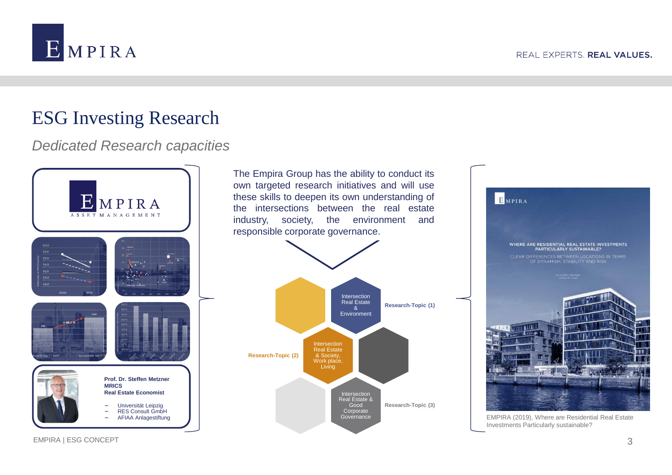

# ESG Investing Research

## *Dedicated Research capacities*



The Empira Group has the ability to conduct its own targeted research initiatives and will use these skills to deepen its own understanding of the intersections between the real estate industry, society, the environment and responsible corporate governance.





EMPIRA (2019), Where are Residential Real Estate Investments Particularly sustainable?

EMPIRA | ESG CONCEPT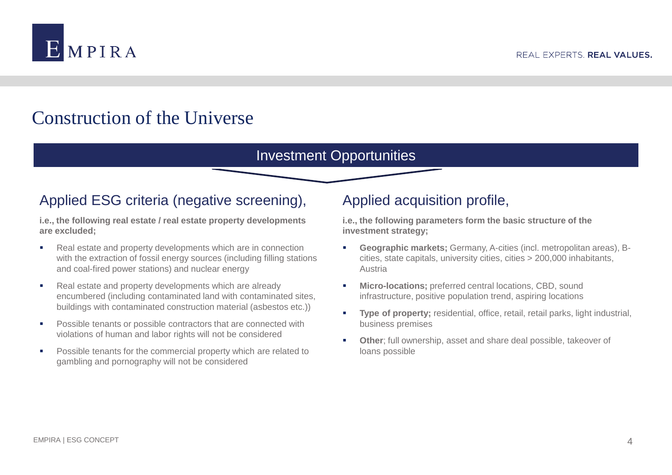

# Construction of the Universe

### Investment Opportunities

## Applied ESG criteria (negative screening),

**i.e., the following real estate / real estate property developments are excluded;**

- Real estate and property developments which are in connection with the extraction of fossil energy sources (including filling stations and coal-fired power stations) and nuclear energy
- Real estate and property developments which are already encumbered (including contaminated land with contaminated sites, buildings with contaminated construction material (asbestos etc.))
- **Possible tenants or possible contractors that are connected with** violations of human and labor rights will not be considered
- **Possible tenants for the commercial property which are related to** gambling and pornography will not be considered

## Applied acquisition profile,

**i.e., the following parameters form the basic structure of the investment strategy;**

- **Geographic markets;** Germany, A-cities (incl. metropolitan areas), Bcities, state capitals, university cities, cities > 200,000 inhabitants, Austria
- **Micro-locations;** preferred central locations, CBD, sound infrastructure, positive population trend, aspiring locations
- **Type of property;** residential, office, retail, retail parks, light industrial, business premises
- **Other**; full ownership, asset and share deal possible, takeover of loans possible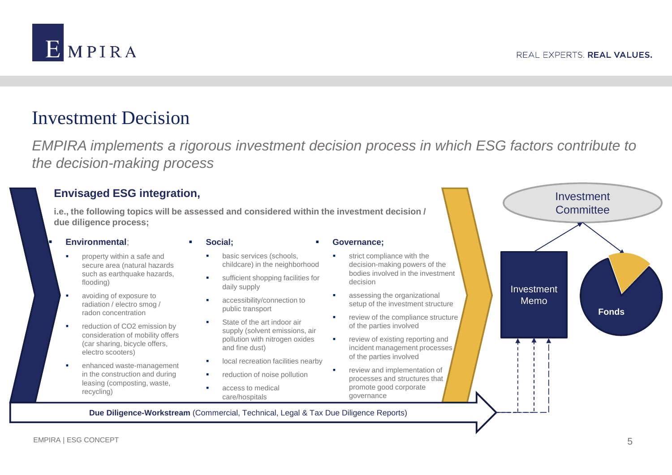

## Investment Decision

*EMPIRA implements a rigorous investment decision process in which ESG factors contribute to the decision-making process*

### **Envisaged ESG integration,**

**i.e., the following topics will be assessed and considered within the investment decision / due diligence process;**

#### **Environmental**;

- property within a safe and secure area (natural hazards such as earthquake hazards, flooding)
- **avoiding of exposure to** radiation / electro smog / radon concentration
- **•** reduction of CO2 emission by consideration of mobility offers (car sharing, bicycle offers, electro scooters)
- enhanced waste-management in the construction and during leasing (composting, waste, recycling)

#### **Social;**

#### **Governance;**

- basic services (schools, childcare) in the neighborhood
- **sufficient shopping facilities for** daily supply
- accessibility/connection to public transport
- State of the art indoor air supply (solvent emissions, air pollution with nitrogen oxides and fine dust)
- local recreation facilities nearby
- reduction of noise pollution
- access to medical care/hospitals
- strict compliance with the
- decision-making powers of the bodies involved in the investment decision
- assessing the organizational setup of the investment structure
- review of the compliance structure of the parties involved
- **•** review of existing reporting and incident management processes of the parties involved
- review and implementation of processes and structures that promote good corporate governance



**Due Diligence-Workstream** (Commercial, Technical, Legal & Tax Due Diligence Reports)